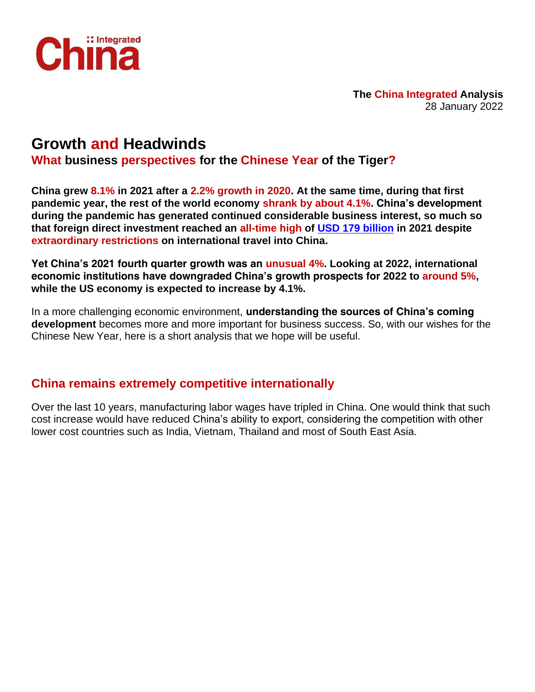

**The China Integrated Analysis** 28 January 2022

# **Growth and Headwinds**

**What business perspectives for the Chinese Year of the Tiger?**

**China grew 8.1% in 2021 after a 2.2% growth in 2020. At the same time, during that first pandemic year, the rest of the world economy shrank by about 4.1%. China's development during the pandemic has generated continued considerable business interest, so much so that foreign direct investment reached an all-time high of [USD 179 billion](https://unctad.org/news/global-foreign-direct-investment-rebounded-strongly-2021-recovery-highly-uneven) in 2021 despite extraordinary restrictions on international travel into China.**

**Yet China's 2021 fourth quarter growth was an unusual 4%. Looking at 2022, international economic institutions have downgraded China's growth prospects for 2022 to around 5%, while the US economy is expected to increase by 4.1%.**

In a more challenging economic environment, **understanding the sources of China's coming development** becomes more and more important for business success. So, with our wishes for the Chinese New Year, here is a short analysis that we hope will be useful.

### **China remains extremely competitive internationally**

Over the last 10 years, manufacturing labor wages have tripled in China. One would think that such cost increase would have reduced China's ability to export, considering the competition with other lower cost countries such as India, Vietnam, Thailand and most of South East Asia.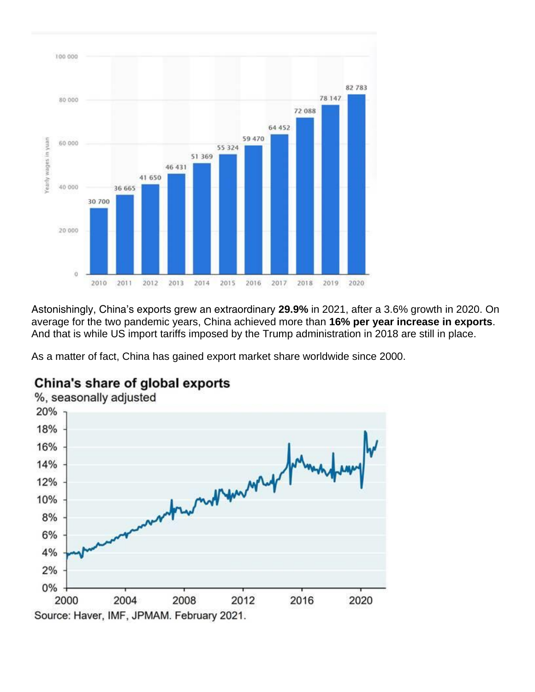

Astonishingly, China's exports grew an extraordinary **29.9%** in 2021, after a 3.6% growth in 2020. On average for the two pandemic years, China achieved more than **16% per year increase in exports**. And that is while US import tariffs imposed by the Trump administration in 2018 are still in place.

As a matter of fact, China has gained export market share worldwide since 2000.



# China's share of global exports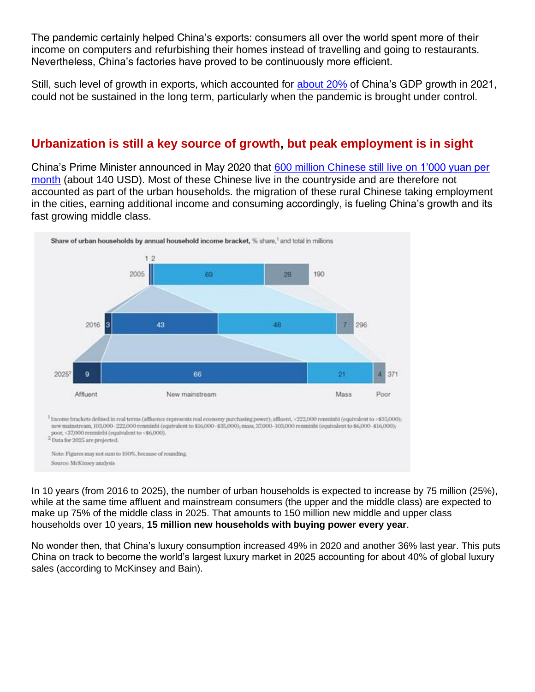The pandemic certainly helped China's exports: consumers all over the world spent more of their income on computers and refurbishing their homes instead of travelling and going to restaurants. Nevertheless, China's factories have proved to be continuously more efficient.

Still, such level of growth in exports, which accounted for [about 20%](https://www.scmp.com/economy/china-economy/article/3163720/china-gdp-growth-2021-beats-expectations-narrowing-gap-us) of China's GDP growth in 2021, could not be sustained in the long term, particularly when the pandemic is brought under control.

### **Urbanization is still a key source of growth, but peak employment is in sight**

China's Prime Minister announced in May 2020 that [600 million Chinese still live on 1'000 yuan per](https://www.scmp.com/economy/china-economy/article/3086678/china-rich-or-poor-nations-wealth-debate-muddied-conflicting)  [month](https://www.scmp.com/economy/china-economy/article/3086678/china-rich-or-poor-nations-wealth-debate-muddied-conflicting) (about 140 USD). Most of these Chinese live in the countryside and are therefore not accounted as part of the urban households. the migration of these rural Chinese taking employment in the cities, earning additional income and consuming accordingly, is fueling China's growth and its fast growing middle class.



In 10 years (from 2016 to 2025), the number of urban households is expected to increase by 75 million (25%), while at the same time affluent and mainstream consumers (the upper and the middle class) are expected to make up 75% of the middle class in 2025. That amounts to 150 million new middle and upper class households over 10 years, **15 million new households with buying power every year**.

No wonder then, that China's luxury consumption increased 49% in 2020 and another 36% last year. This puts China on track to become the world's largest luxury market in 2025 accounting for about 40% of global luxury sales (according to McKinsey and Bain).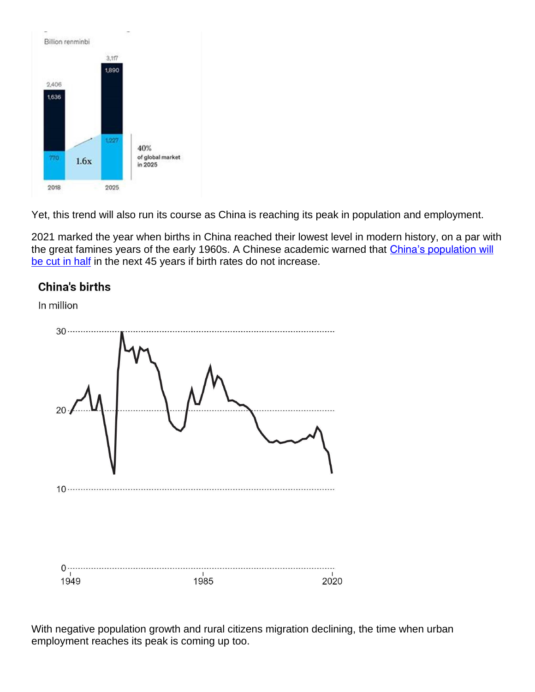

Yet, this trend will also run its course as China is reaching its peak in population and employment.

2021 marked the year when births in China reached their lowest level in modern history, on a par with the great famines years of the early 1960s. A Chinese academic warned that [China's population will](https://www.scmp.com/news/china/science/article/3150699/chinas-population-could-halve-within-next-45-years-new-study)  [be cut in half](https://www.scmp.com/news/china/science/article/3150699/chinas-population-could-halve-within-next-45-years-new-study) in the next 45 years if birth rates do not increase.

## **China's births**

In million



With negative population growth and rural citizens migration declining, the time when urban employment reaches its peak is coming up too.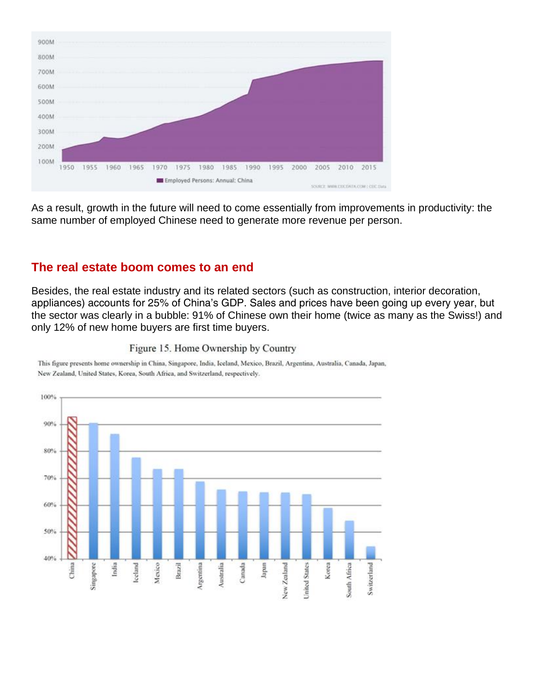

As a result, growth in the future will need to come essentially from improvements in productivity: the same number of employed Chinese need to generate more revenue per person.

### **The real estate boom comes to an end**

Besides, the real estate industry and its related sectors (such as construction, interior decoration, appliances) accounts for 25% of China's GDP. Sales and prices have been going up every year, but the sector was clearly in a bubble: 91% of Chinese own their home (twice as many as the Swiss!) and only 12% of new home buyers are first time buyers.



#### Figure 15. Home Ownership by Country

This figure presents home ownership in China, Singapore, India, Iceland, Mexico, Brazil, Argentina, Australia, Canada, Japan, New Zealand, United States, Korea, South Africa, and Switzerland, respectively.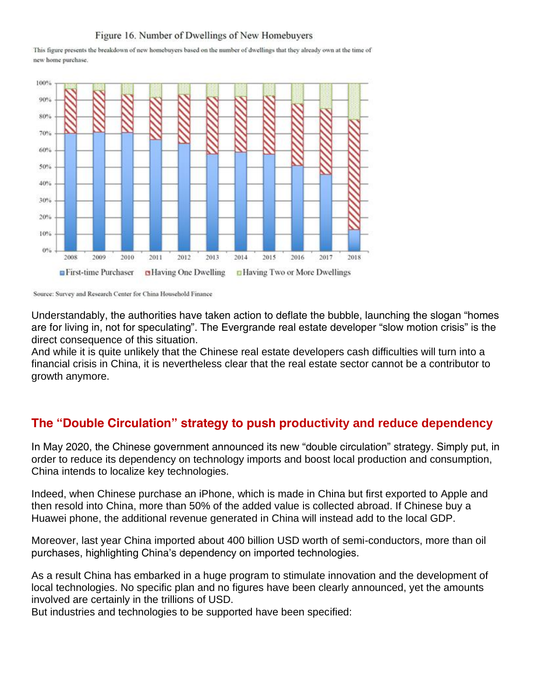#### Figure 16. Number of Dwellings of New Homebuyers

This figure presents the breakdown of new homebuyers based on the number of dwellings that they already own at the time of new home purchase.



Source: Survey and Research Center for China Household Finance

Understandably, the authorities have taken action to deflate the bubble, launching the slogan "homes are for living in, not for speculating". The Evergrande real estate developer "slow motion crisis" is the direct consequence of this situation.

And while it is quite unlikely that the Chinese real estate developers cash difficulties will turn into a financial crisis in China, it is nevertheless clear that the real estate sector cannot be a contributor to growth anymore.

### **The "Double Circulation" strategy to push productivity and reduce dependency**

In May 2020, the Chinese government announced its new "double circulation" strategy. Simply put, in order to reduce its dependency on technology imports and boost local production and consumption, China intends to localize key technologies.

Indeed, when Chinese purchase an iPhone, which is made in China but first exported to Apple and then resold into China, more than 50% of the added value is collected abroad. If Chinese buy a Huawei phone, the additional revenue generated in China will instead add to the local GDP.

Moreover, last year China imported about 400 billion USD worth of semi-conductors, more than oil purchases, highlighting China's dependency on imported technologies.

As a result China has embarked in a huge program to stimulate innovation and the development of local technologies. No specific plan and no figures have been clearly announced, yet the amounts involved are certainly in the trillions of USD.

But industries and technologies to be supported have been specified: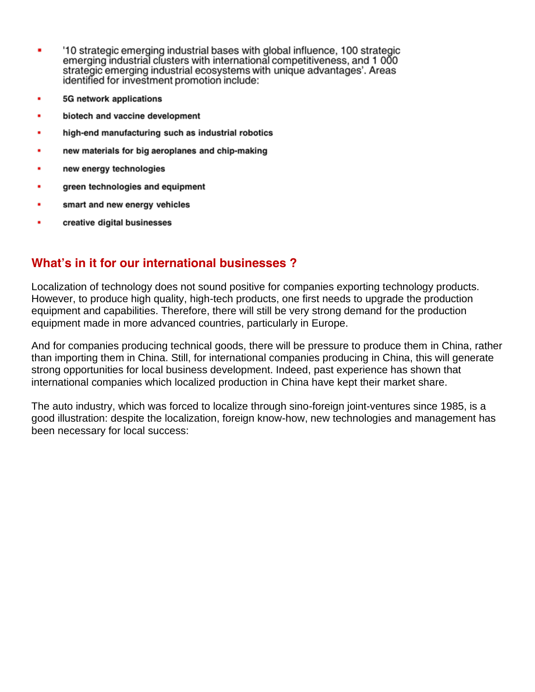- '10 strategic emerging industrial bases with global influence, 100 strategic ٠ emerging industrial clusters with international competitiveness, and 1000 strategic emerging industrial ecosystems with unique advantages'. Areas identified for investment promotion include:
- 5G network applications ٠
- biotech and vaccine development ٠
- high-end manufacturing such as industrial robotics ٠
- new materials for big aeroplanes and chip-making
- new energy technologies
- green technologies and equipment
- smart and new energy vehicles
- creative digital businesses

## **What's in it for our international businesses ?**

Localization of technology does not sound positive for companies exporting technology products. However, to produce high quality, high-tech products, one first needs to upgrade the production equipment and capabilities. Therefore, there will still be very strong demand for the production equipment made in more advanced countries, particularly in Europe.

And for companies producing technical goods, there will be pressure to produce them in China, rather than importing them in China. Still, for international companies producing in China, this will generate strong opportunities for local business development. Indeed, past experience has shown that international companies which localized production in China have kept their market share.

The auto industry, which was forced to localize through sino-foreign joint-ventures since 1985, is a good illustration: despite the localization, foreign know-how, new technologies and management has been necessary for local success: